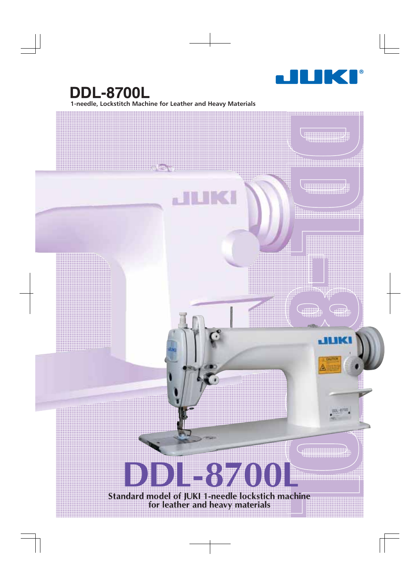

 $\frac{1}{2}$ 

 $\mathop{\parallel\!\parallel} \mathop{\parallel\!\parallel}$ 

JUK

 $\left(\frac{1}{\sqrt{2}}\right)$ 

i i i i i i i

<u> 1989 - Andrej Start Frankrik, margaret eta izan erroman eta i</u>

## **1-needle, Lockstitch Machine for Leather and Heavy Materials DDL-8700L**

 $\mathbb{A}^{\boxplus}$ 

**THKI** 

## **DDL-8700L**

**Standard model of JUKI 1-needle lockstich machine for leather and heavy materials**